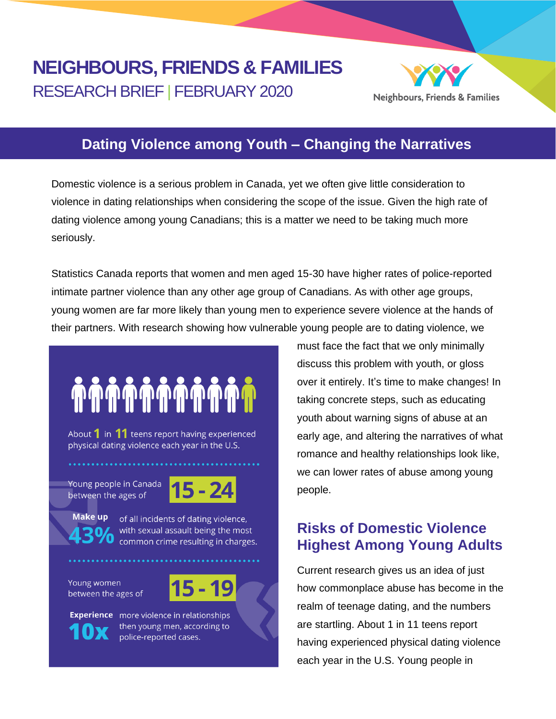## **NEIGHBOURS, FRIENDS & FAMILIES** RESEARCH BRIEF | FEBRUARY 2020



#### **Dating Violence among Youth – Changing the Narratives**

Domestic violence is a serious problem in Canada, yet we often give little consideration to violence in dating relationships when considering the scope of the issue. Given the high rate of dating violence among young Canadians; this is a matter we need to be taking much more seriously.

Statistics Canada reports that women and men aged 15-30 have higher rates of police-reported intimate partner violence than any other age group of Canadians. As with other age groups, young women are far more likely than young men to experience severe violence at the hands of their partners. With research showing how vulnerable young people are to dating violence, we

# 

About  $1$  in  $11$  teens report having experienced physical dating violence each year in the U.S.

Young people in Canada between the ages of



Make up

of all incidents of dating violence, with sexual assault being the most common crime resulting in charges.

Young women between the ages of

**Experience** more violence in relationships then young men, according to police-reported cases.

must face the fact that we only minimally discuss this problem with youth, or gloss over it entirely. It's time to make changes! In taking concrete steps, such as educating youth about warning signs of abuse at an early age, and altering the narratives of what romance and healthy relationships look like, we can lower rates of abuse among young people.

### **Risks of Domestic Violence Highest Among Young Adults**

Current research gives us an idea of just how commonplace abuse has become in the realm of teenage dating, and the numbers are startling. About 1 in 11 teens report having experienced physical dating violence each year in the U.S. Young people in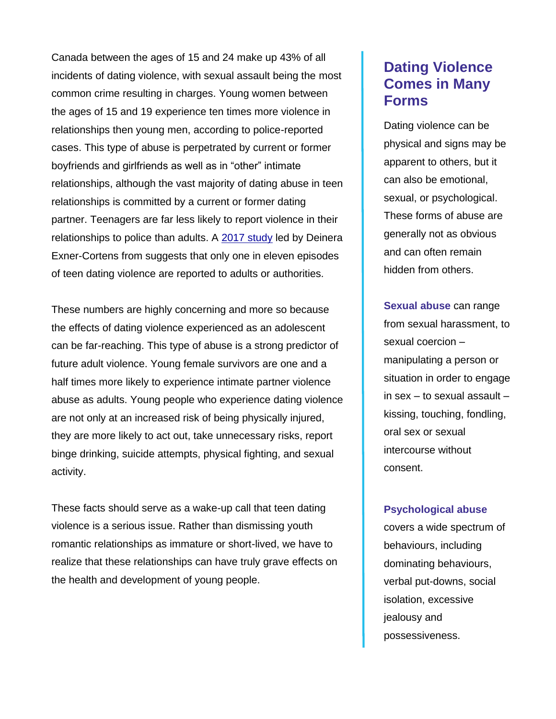Canada between the ages of 15 and 24 make up 43% of all incidents of dating violence, with sexual assault being the most common crime resulting in charges. Young women between the ages of 15 and 19 experience ten times more violence in relationships then young men, according to police-reported cases. This type of abuse is perpetrated by current or former boyfriends and girlfriends as well as in "other" intimate relationships, although the vast majority of dating abuse in teen relationships is committed by a current or former dating partner. Teenagers are far less likely to report violence in their relationships to police than adults. A [2017 study](https://www.ucalgary.ca/news/three-things-know-about-teen-dating-violence) led by Deinera Exner-Cortens from suggests that only one in eleven episodes of teen dating violence are reported to adults or authorities.

These numbers are highly concerning and more so because the effects of dating violence experienced as an adolescent can be far-reaching. This type of abuse is a strong predictor of future adult violence. Young female survivors are one and a half times more likely to experience intimate partner violence abuse as adults. Young people who experience dating violence are not only at an increased risk of being physically injured, they are more likely to act out, take unnecessary risks, report binge drinking, suicide attempts, physical fighting, and sexual activity.

These facts should serve as a wake-up call that teen dating violence is a serious issue. Rather than dismissing youth romantic relationships as immature or short-lived, we have to realize that these relationships can have truly grave effects on the health and development of young people.

#### **Dating Violence Comes in Many Forms**

Dating violence can be physical and signs may be apparent to others, but it can also be emotional, sexual, or psychological. These forms of abuse are generally not as obvious and can often remain hidden from others.

**Sexual abuse** can range from sexual harassment, to sexual coercion – manipulating a person or situation in order to engage in sex – to sexual assault – kissing, touching, fondling, oral sex or sexual intercourse without consent.

#### **Psychological abuse**

covers a wide spectrum of behaviours, including dominating behaviours, verbal put-downs, social isolation, excessive jealousy and possessiveness.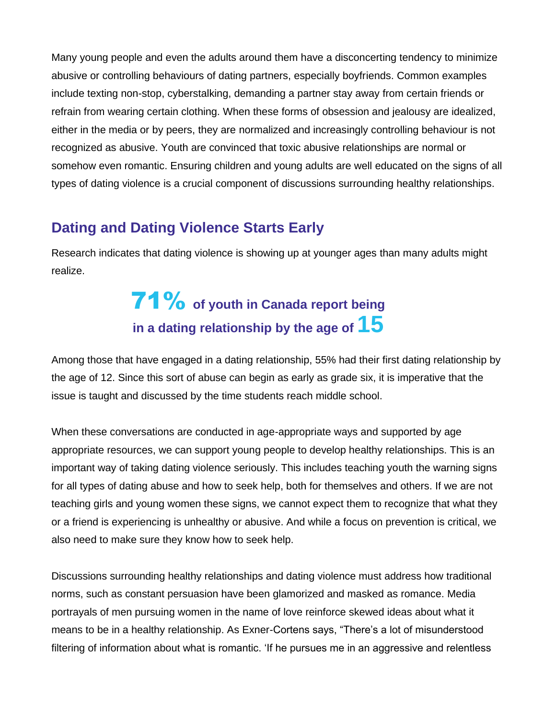Many young people and even the adults around them have a disconcerting tendency to minimize abusive or controlling behaviours of dating partners, especially boyfriends. Common examples include texting non-stop, cyberstalking, demanding a partner stay away from certain friends or refrain from wearing certain clothing. When these forms of obsession and jealousy are idealized, either in the media or by peers, they are normalized and increasingly controlling behaviour is not recognized as abusive. Youth are convinced that toxic abusive relationships are normal or somehow even romantic. Ensuring children and young adults are well educated on the signs of all types of dating violence is a crucial component of discussions surrounding healthy relationships.

#### **Dating and Dating Violence Starts Early**

Research indicates that dating violence is showing up at younger ages than many adults might realize.

## **71%** of youth in Canada report being **in a dating relationship by the age of 15**

Among those that have engaged in a dating relationship, 55% had their first dating relationship by the age of 12. Since this sort of abuse can begin as early as grade six, it is imperative that the issue is taught and discussed by the time students reach middle school.

When these conversations are conducted in age-appropriate ways and supported by age appropriate resources, we can support young people to develop healthy relationships. This is an important way of taking dating violence seriously. This includes teaching youth the warning signs for all types of dating abuse and how to seek help, both for themselves and others. If we are not teaching girls and young women these signs, we cannot expect them to recognize that what they or a friend is experiencing is unhealthy or abusive. And while a focus on prevention is critical, we also need to make sure they know how to seek help.

Discussions surrounding healthy relationships and dating violence must address how traditional norms, such as constant persuasion have been glamorized and masked as romance. Media portrayals of men pursuing women in the name of love reinforce skewed ideas about what it means to be in a healthy relationship. As Exner-Cortens says, "There's a lot of misunderstood filtering of information about what is romantic. 'If he pursues me in an aggressive and relentless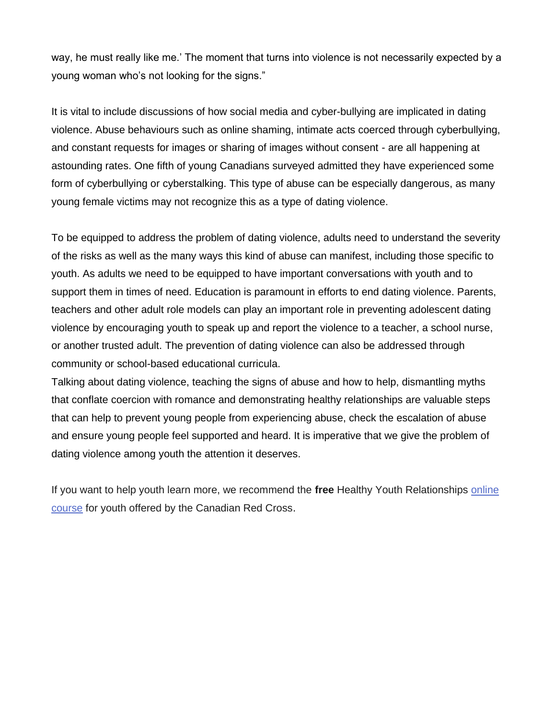way, he must really like me.' The moment that turns into violence is not necessarily expected by a young woman who's not looking for the signs."

It is vital to include discussions of how social media and cyber-bullying are implicated in dating violence. Abuse behaviours such as online shaming, intimate acts coerced through cyberbullying, and constant requests for images or sharing of images without consent - are all happening at astounding rates. One fifth of young Canadians surveyed admitted they have experienced some form of cyberbullying or cyberstalking. This type of abuse can be especially dangerous, as many young female victims may not recognize this as a type of dating violence.

To be equipped to address the problem of dating violence, adults need to understand the severity of the risks as well as the many ways this kind of abuse can manifest, including those specific to youth. As adults we need to be equipped to have important conversations with youth and to support them in times of need. Education is paramount in efforts to end dating violence. Parents, teachers and other adult role models can play an important role in preventing adolescent dating violence by encouraging youth to speak up and report the violence to a teacher, a school nurse, or another trusted adult. The prevention of dating violence can also be addressed through community or school-based educational curricula.

Talking about dating violence, teaching the signs of abuse and how to help, dismantling myths that conflate coercion with romance and demonstrating healthy relationships are valuable steps that can help to prevent young people from experiencing abuse, check the escalation of abuse and ensure young people feel supported and heard. It is imperative that we give the problem of dating violence among youth the attention it deserves.

If you want to help youth learn more, we recommend the **free** Healthy Youth Relationships [online](http://redcrosselearning.ca/HYR.php)  [course](http://redcrosselearning.ca/HYR.php) for youth offered by the Canadian Red Cross.